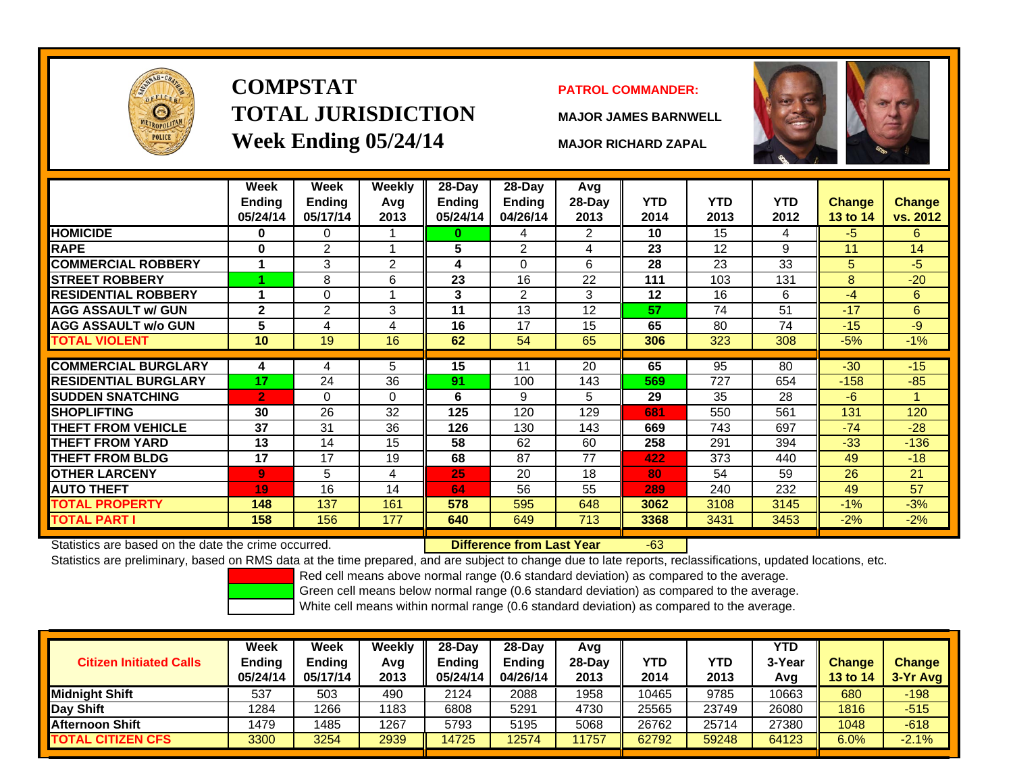

## **COMPSTATTOTAL JURISDICTIONWeek Ending 05/24/14 MAJOR RICHARD ZAPAL**

#### **PATROL COMMANDER:**

**MAJOR JAMES BARNWELL**

-63



|                             | Week<br>Ending<br>05/24/14 | Week<br><b>Ending</b><br>05/17/14 | <b>Weekly</b><br>Avg<br>2013 | $28-Day$<br><b>Ending</b><br>05/24/14 | 28-Day<br><b>Ending</b><br>04/26/14 | Avg<br>28-Day<br>2013 | <b>YTD</b><br>2014 | <b>YTD</b><br>2013 | <b>YTD</b><br>2012 | <b>Change</b><br>13 to 14 | <b>Change</b><br>vs. 2012 |
|-----------------------------|----------------------------|-----------------------------------|------------------------------|---------------------------------------|-------------------------------------|-----------------------|--------------------|--------------------|--------------------|---------------------------|---------------------------|
| <b>HOMICIDE</b>             | 0                          | 0                                 |                              | 0                                     | 4                                   | 2                     | 10                 | 15                 | 4                  | -5                        | 6.                        |
| <b>RAPE</b>                 | $\bf{0}$                   | $\overline{2}$                    |                              | 5                                     | $\overline{2}$                      | 4                     | 23                 | 12                 | 9                  | 11                        | 14                        |
| <b>COMMERCIAL ROBBERY</b>   | 1                          | 3                                 | 2                            | 4                                     | $\Omega$                            | 6                     | 28                 | 23                 | 33                 | 5                         | $-5$                      |
| <b>STREET ROBBERY</b>       |                            | 8                                 | 6                            | 23                                    | 16                                  | 22                    | 111                | 103                | 131                | 8                         | $-20$                     |
| <b>RESIDENTIAL ROBBERY</b>  |                            | $\Omega$                          | $\overline{\mathbf{A}}$      | 3                                     | $\overline{2}$                      | 3                     | 12                 | 16                 | 6                  | $-4$                      | 6                         |
| <b>AGG ASSAULT w/ GUN</b>   | $\mathbf{2}$               | $\overline{2}$                    | 3                            | 11                                    | 13                                  | 12                    | 57                 | 74                 | 51                 | $-17$                     | 6                         |
| <b>AGG ASSAULT w/o GUN</b>  | 5                          | 4                                 | 4                            | 16                                    | 17                                  | 15                    | 65                 | 80                 | 74                 | $-15$                     | -9                        |
| <b>TOTAL VIOLENT</b>        | 10                         | 19                                | 16                           | 62                                    | 54                                  | 65                    | 306                | 323                | 308                | $-5%$                     | $-1%$                     |
| <b>COMMERCIAL BURGLARY</b>  | 4                          | 4                                 | 5                            | 15                                    | 11                                  | 20                    | 65                 | 95                 | 80                 | $-30$                     | $-15$                     |
| <b>RESIDENTIAL BURGLARY</b> | 17                         | 24                                | 36                           | 91                                    | 100                                 | 143                   | 569                | 727                | 654                | $-158$                    | $-85$                     |
| <b>SUDDEN SNATCHING</b>     | $\overline{2}$             | $\Omega$                          | $\Omega$                     | 6                                     | 9                                   | 5                     | 29                 | 35                 | 28                 | $-6$                      |                           |
| <b>SHOPLIFTING</b>          | 30                         | 26                                | 32                           | 125                                   | 120                                 | 129                   | 681                | 550                | 561                | 131                       | 120                       |
| <b>THEFT FROM VEHICLE</b>   | 37                         | 31                                | 36                           | 126                                   | 130                                 | 143                   | 669                | 743                | 697                | $-74$                     | $-28$                     |
| <b>THEFT FROM YARD</b>      | 13                         | 14                                | 15                           | 58                                    | 62                                  | 60                    | 258                | 291                | 394                | $-33$                     | $-136$                    |
| <b>THEFT FROM BLDG</b>      | 17                         | 17                                | 19                           | 68                                    | 87                                  | 77                    | 422                | 373                | 440                | 49                        | $-18$                     |
| <b>OTHER LARCENY</b>        | $\overline{9}$             | 5                                 | 4                            | 25                                    | 20                                  | 18                    | 80                 | 54                 | 59                 | 26                        | 21                        |
| <b>AUTO THEFT</b>           | 19                         | 16                                | 14                           | 64                                    | 56                                  | 55                    | 289                | 240                | 232                | 49                        | 57                        |
| <b>TOTAL PROPERTY</b>       | 148                        | 137                               | 161                          | 578                                   | 595                                 | 648                   | 3062               | 3108               | 3145               | $-1%$                     | $-3%$                     |
| <b>TOTAL PART I</b>         | 158                        | 156                               | 177                          | 640                                   | 649                                 | 713                   | 3368               | 3431               | 3453               | $-2\%$                    | $-2%$                     |

Statistics are based on the date the crime occurred. **Difference from Last Year** 

Statistics are preliminary, based on RMS data at the time prepared, and are subject to change due to late reports, reclassifications, updated locations, etc.

Red cell means above normal range (0.6 standard deviation) as compared to the average.

Green cell means below normal range (0.6 standard deviation) as compared to the average.

| <b>Citizen Initiated Calls</b> | Week<br><b>Ending</b><br>05/24/14 | Week<br><b>Ending</b><br>05/17/14 | Weekly<br>Avg<br>2013 | $28-Dav$<br><b>Ending</b><br>05/24/14 | $28-Day$<br><b>Ending</b><br>04/26/14 | Avg<br>28-Dav<br>2013 | YTD<br>2014 | YTD<br>2013 | <b>YTD</b><br>3-Year<br>Avg | <b>Change</b><br><b>13 to 14</b> | <b>Change</b><br>3-Yr Avg |
|--------------------------------|-----------------------------------|-----------------------------------|-----------------------|---------------------------------------|---------------------------------------|-----------------------|-------------|-------------|-----------------------------|----------------------------------|---------------------------|
| <b>I</b> Midniaht Shift        | 537                               | 503                               | 490                   | 2124                                  | 2088                                  | 1958                  | 10465       | 9785        | 10663                       | 680                              | $-198$                    |
| Day Shift                      | 1284                              | 1266                              | 1183                  | 6808                                  | 5291                                  | 4730                  | 25565       | 23749       | 26080                       | 1816                             | $-515$                    |
| <b>Afternoon Shift</b>         | 1479                              | 1485                              | 1267                  | 5793                                  | 5195                                  | 5068                  | 26762       | 25714       | 27380                       | 1048                             | $-618$                    |
| <b>TOTAL CITIZEN CFS</b>       | 3300                              | 3254                              | 2939                  | 14725                                 | 12574                                 | 1757                  | 62792       | 59248       | 64123                       | 6.0%                             | $-2.1%$                   |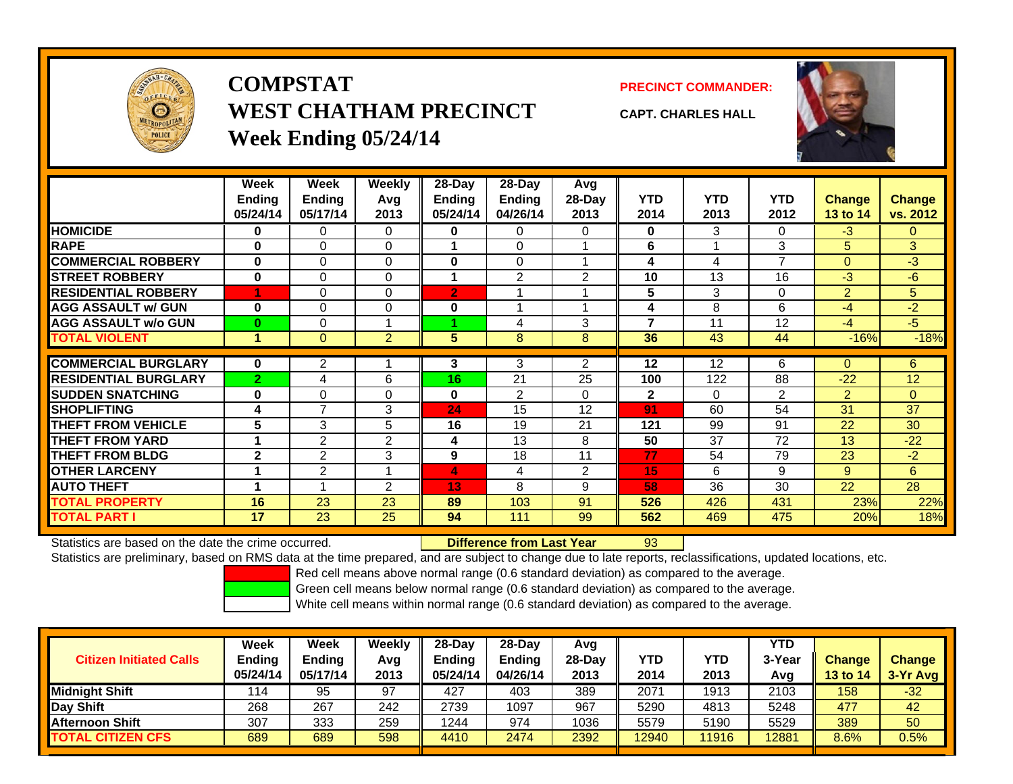

## **COMPSTATWEST CHATHAM PRECINCTWeek Ending 05/24/14**

**PRECINCT COMMANDER:**



**CAPT. CHARLES HALL**

|                             | Week<br><b>Ending</b><br>05/24/14 | Week<br><b>Ending</b><br>05/17/14 | Weekly<br>Avq<br>2013 | $28 - Day$<br>Ending<br>05/24/14 | $28-Dav$<br><b>Ending</b><br>04/26/14 | Avg<br>$28-Day$<br>2013 | <b>YTD</b><br>2014 | YTD.<br>2013 | YTD.<br>2012   | <b>Change</b><br>13 to 14 | <b>Change</b><br>vs. 2012 |
|-----------------------------|-----------------------------------|-----------------------------------|-----------------------|----------------------------------|---------------------------------------|-------------------------|--------------------|--------------|----------------|---------------------------|---------------------------|
| <b>HOMICIDE</b>             | 0                                 | 0                                 | 0                     | 0                                | 0                                     | 0                       | 0                  | 3            | 0              | $-3$                      | $\Omega$                  |
| <b>RAPE</b>                 | $\bf{0}$                          | 0                                 | 0                     | 1                                | 0                                     |                         | 6                  |              | 3              | 5                         | 3                         |
| <b>COMMERCIAL ROBBERY</b>   | $\bf{0}$                          | 0                                 | 0                     | $\bf{0}$                         | 0                                     | 1                       | 4                  | 4            | $\overline{ }$ | $\Omega$                  | $-3$                      |
| <b>STREET ROBBERY</b>       | $\bf{0}$                          | 0                                 | 0                     | 1                                | $\overline{2}$                        | 2                       | 10                 | 13           | 16             | -3                        | $-6$                      |
| <b>RESIDENTIAL ROBBERY</b>  |                                   | 0                                 | 0                     | $\overline{2}$                   |                                       |                         | 5                  | 3            | $\Omega$       | 2                         | 5                         |
| <b>AGG ASSAULT w/ GUN</b>   | 0                                 | 0                                 | 0                     | 0                                |                                       | 4                       | 4                  | 8            | 6              | -4                        | $-2$                      |
| <b>AGG ASSAULT w/o GUN</b>  | $\bf{0}$                          | $\Omega$                          |                       |                                  | 4                                     | 3                       | 7                  | 11           | 12             | -4                        | $-5$                      |
| <b>TOTAL VIOLENT</b>        | 1                                 | $\overline{0}$                    | $\overline{2}$        | 5                                | 8                                     | 8                       | 36                 | 43           | 44             | $-16%$                    | $-18%$                    |
|                             |                                   |                                   |                       |                                  |                                       |                         |                    |              |                |                           |                           |
| <b>COMMERCIAL BURGLARY</b>  | $\mathbf 0$                       | 2                                 |                       | 3                                | 3                                     | 2                       | 12                 | 12           | 6              | $\Omega$                  | 6                         |
| <b>RESIDENTIAL BURGLARY</b> | $\overline{2}$                    | 4                                 | 6                     | 16                               | 21                                    | 25                      | 100                | 122          | 88             | $-22$                     | 12                        |
| <b>SUDDEN SNATCHING</b>     | 0                                 | $\Omega$                          | 0                     | $\bf{0}$                         | $\mathfrak{p}$                        | $\Omega$                | $\mathbf{2}$       | $\Omega$     | 2              | 2                         | $\Omega$                  |
| <b>SHOPLIFTING</b>          | 4                                 | $\overline{7}$                    | 3                     | 24                               | 15                                    | 12                      | 91                 | 60           | 54             | 31                        | 37                        |
| <b>THEFT FROM VEHICLE</b>   | 5                                 | 3                                 | 5                     | 16                               | 19                                    | 21                      | 121                | 99           | 91             | 22                        | 30                        |
| <b>THEFT FROM YARD</b>      | 1                                 | $\overline{2}$                    | 2                     | 4                                | 13                                    | 8                       | 50                 | 37           | 72             | 13                        | $-22$                     |
| <b>THEFT FROM BLDG</b>      | $\mathbf{2}$                      | 2                                 | 3                     | 9                                | 18                                    | 11                      | 77                 | 54           | 79             | 23                        | $-2$                      |
| <b>OTHER LARCENY</b>        |                                   | $\overline{2}$                    |                       | 4                                | 4                                     | 2                       | 15                 | 6            | 9              | 9                         | 6                         |
| <b>AUTO THEFT</b>           |                                   |                                   | $\mathfrak{p}$        | 13                               | 8                                     | 9                       | 58                 | 36           | 30             | 22                        | 28                        |
| <b>TOTAL PROPERTY</b>       | 16                                | 23                                | 23                    | 89                               | 103                                   | 91                      | 526                | 426          | 431            | 23%                       | 22%                       |
| <b>TOTAL PART I</b>         | 17                                | 23                                | 25                    | 94                               | 111                                   | 99                      | 562                | 469          | 475            | 20%                       | 18%                       |

Statistics are based on the date the crime occurred. **Difference from Last Year** 

93

Statistics are preliminary, based on RMS data at the time prepared, and are subject to change due to late reports, reclassifications, updated locations, etc.

Red cell means above normal range (0.6 standard deviation) as compared to the average.

Green cell means below normal range (0.6 standard deviation) as compared to the average.

| <b>Citizen Initiated Calls</b> | <b>Week</b><br>Ending<br>05/24/14 | <b>Week</b><br><b>Ending</b><br>05/17/14 | Weekly<br>Avg<br>2013 | $28-Day$<br><b>Ending</b><br>05/24/14 | $28$ -Day<br><b>Ending</b><br>04/26/14 | Avg<br>28-Day<br>2013 | YTD<br>2014 | YTD<br>2013 | <b>YTD</b><br>3-Year<br>Avg | <b>Change</b><br>13 to 14 | <b>Change</b><br>3-Yr Avg |
|--------------------------------|-----------------------------------|------------------------------------------|-----------------------|---------------------------------------|----------------------------------------|-----------------------|-------------|-------------|-----------------------------|---------------------------|---------------------------|
| Midnight Shift                 | 114                               | 95                                       | 97                    | 427                                   | 403                                    | 389                   | 2071        | 1913        | 2103                        | 158                       | $-32$                     |
| Day Shift                      | 268                               | 267                                      | 242                   | 2739                                  | 1097                                   | 967                   | 5290        | 4813        | 5248                        | 477                       | 42                        |
| <b>Afternoon Shift</b>         | 307                               | 333                                      | 259                   | 1244                                  | 974                                    | 1036                  | 5579        | 5190        | 5529                        | 389                       | 50                        |
| <b>TOTAL CITIZEN CFS</b>       | 689                               | 689                                      | 598                   | 4410                                  | 2474                                   | 2392                  | 12940       | 11916       | 12881                       | 8.6%                      | 0.5%                      |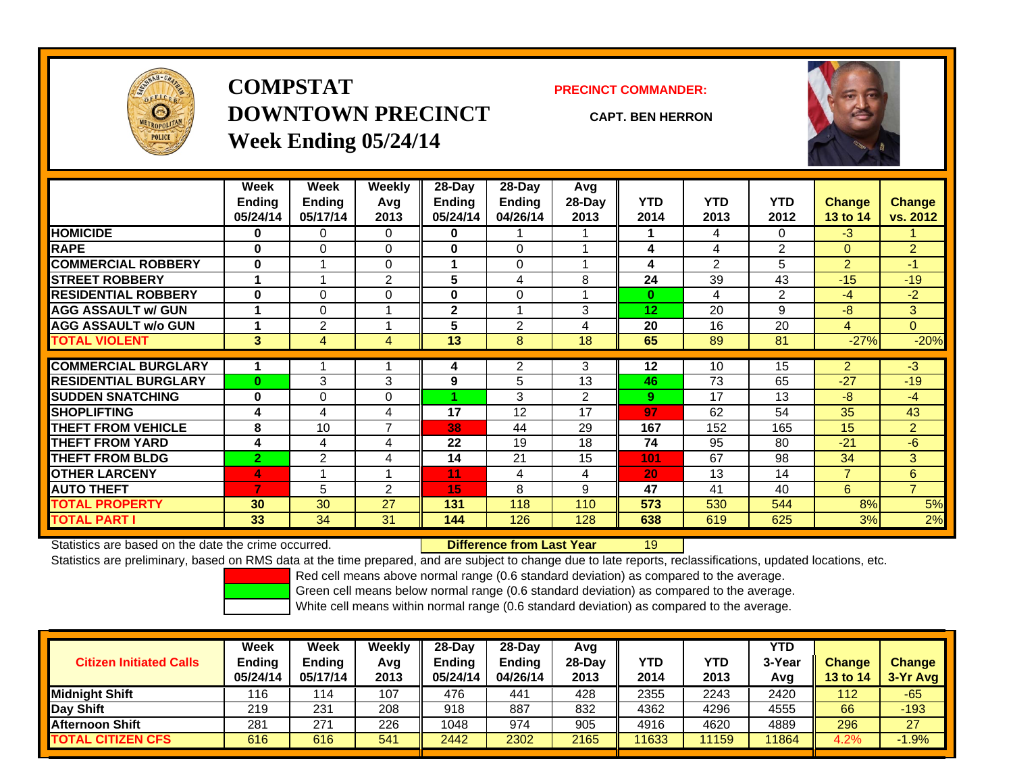

## **COMPSTATDOWNTOWN PRECINCTWeek Ending 05/24/14**

**PRECINCT COMMANDER:**

**CAPT. BEN HERRON**



|                             | Week           | Week           | Weekly         | 28-Day        | $28-Day$       | Avg    |            |            |                |                 |                |
|-----------------------------|----------------|----------------|----------------|---------------|----------------|--------|------------|------------|----------------|-----------------|----------------|
|                             | <b>Ending</b>  | <b>Ending</b>  | Avg            | <b>Ending</b> | <b>Ending</b>  | 28-Day | <b>YTD</b> | <b>YTD</b> | <b>YTD</b>     | Change          | <b>Change</b>  |
|                             | 05/24/14       | 05/17/14       | 2013           | 05/24/14      | 04/26/14       | 2013   | 2014       | 2013       | 2012           | <b>13 to 14</b> | vs. 2012       |
| <b>HOMICIDE</b>             | 0              | 0              | 0              | 0             |                |        |            | 4          | 0              | $-3$            |                |
| <b>RAPE</b>                 | 0              | $\Omega$       | 0              | $\bf{0}$      | 0              |        | 4          | 4          | $\overline{2}$ | $\Omega$        | $\overline{2}$ |
| <b>COMMERCIAL ROBBERY</b>   | $\bf{0}$       |                | $\mathbf 0$    | 4             | 0              |        | 4          | 2          | 5              | 2               | $-1$           |
| <b>STREET ROBBERY</b>       |                |                | $\overline{2}$ | 5             | 4              | 8      | 24         | 39         | 43             | $-15$           | $-19$          |
| <b>RESIDENTIAL ROBBERY</b>  | $\bf{0}$       | 0              | 0              | 0             | 0              |        | $\bf{0}$   | 4          | 2              | $-4$            | $-2$           |
| <b>AGG ASSAULT w/ GUN</b>   |                | 0              |                | $\mathbf{2}$  |                | 3      | 12         | 20         | 9              | -8              | 3              |
| <b>AGG ASSAULT w/o GUN</b>  |                | $\overline{2}$ |                | 5             | $\overline{2}$ | 4      | 20         | 16         | 20             | 4               | $\overline{0}$ |
| <b>TOTAL VIOLENT</b>        | 3              | 4              | 4              | 13            | 8              | 18     | 65         | 89         | 81             | $-27%$          | $-20%$         |
|                             |                |                |                |               |                |        |            |            |                |                 |                |
| <b>COMMERCIAL BURGLARY</b>  |                |                |                | 4             | 2              | 3      | 12         | 10         | 15             | 2               | $-3$           |
| <b>RESIDENTIAL BURGLARY</b> | $\bf{0}$       | 3              | 3              | 9             | 5              | 13     | 46         | 73         | 65             | $-27$           | $-19$          |
| <b>ISUDDEN SNATCHING</b>    | $\bf{0}$       | 0              | 0              |               | 3              | 2      | 9          | 17         | 13             | -8              | $-4$           |
| <b>SHOPLIFTING</b>          | 4              | 4              | 4              | 17            | 12             | 17     | 97         | 62         | 54             | 35              | 43             |
| <b>THEFT FROM VEHICLE</b>   | 8              | 10             | $\overline{ }$ | 38            | 44             | 29     | 167        | 152        | 165            | 15              | $\overline{2}$ |
| <b>THEFT FROM YARD</b>      | 4              | 4              | 4              | 22            | 19             | 18     | 74         | 95         | 80             | $-21$           | -6             |
| <b>THEFT FROM BLDG</b>      | $\overline{2}$ | $\overline{2}$ | 4              | 14            | 21             | 15     | 101        | 67         | 98             | 34              | 3              |
| <b>OTHER LARCENY</b>        | 4              |                |                | 11            | 4              | 4      | 20         | 13         | 14             | $\overline{7}$  | 6              |
| <b>AUTO THEFT</b>           | 7              | 5              | $\overline{2}$ | 15            | 8              | 9      | 47         | 41         | 40             | 6               | $\overline{7}$ |
| <b>TOTAL PROPERTY</b>       | 30             | 30             | 27             | 131           | 118            | 110    | 573        | 530        | 544            | 8%              | 5%             |
| <b>TOTAL PART I</b>         | 33             | 34             | 31             | 144           | 126            | 128    | 638        | 619        | 625            | 3%              | 2%             |

Statistics are based on the date the crime occurred. **Difference from Last Year** 

19

Statistics are preliminary, based on RMS data at the time prepared, and are subject to change due to late reports, reclassifications, updated locations, etc.

Red cell means above normal range (0.6 standard deviation) as compared to the average.

Green cell means below normal range (0.6 standard deviation) as compared to the average.

| <b>Citizen Initiated Calls</b> | Week<br>Ending<br>05/24/14 | <b>Week</b><br><b>Ending</b><br>05/17/14 | Weekly<br>Avg<br>2013 | 28-Day<br>Ending<br>05/24/14 | 28-Dav<br><b>Endina</b><br>04/26/14 | Avg<br>28-Dav<br>2013 | YTD<br>2014 | YTD<br>2013 | <b>YTD</b><br>3-Year<br>Avg | <b>Change</b><br><b>13 to 14</b> | <b>Change</b><br>3-Yr Avg |
|--------------------------------|----------------------------|------------------------------------------|-----------------------|------------------------------|-------------------------------------|-----------------------|-------------|-------------|-----------------------------|----------------------------------|---------------------------|
| <b>Midnight Shift</b>          | 116                        | 114                                      | 107                   | 476                          | 441                                 | 428                   | 2355        | 2243        | 2420                        | 112                              | $-65$                     |
| Day Shift                      | 219                        | 231                                      | 208                   | 918                          | 887                                 | 832                   | 4362        | 4296        | 4555                        | 66                               | $-193$                    |
| <b>Afternoon Shift</b>         | 281                        | 271                                      | 226                   | 1048                         | 974                                 | 905                   | 4916        | 4620        | 4889                        | 296                              | 27                        |
| <b>TOTAL CITIZEN CFS</b>       | 616                        | 616                                      | 541                   | 2442                         | 2302                                | 2165                  | 1633        | 11159       | 11864                       | 4.2%                             | $-1.9%$                   |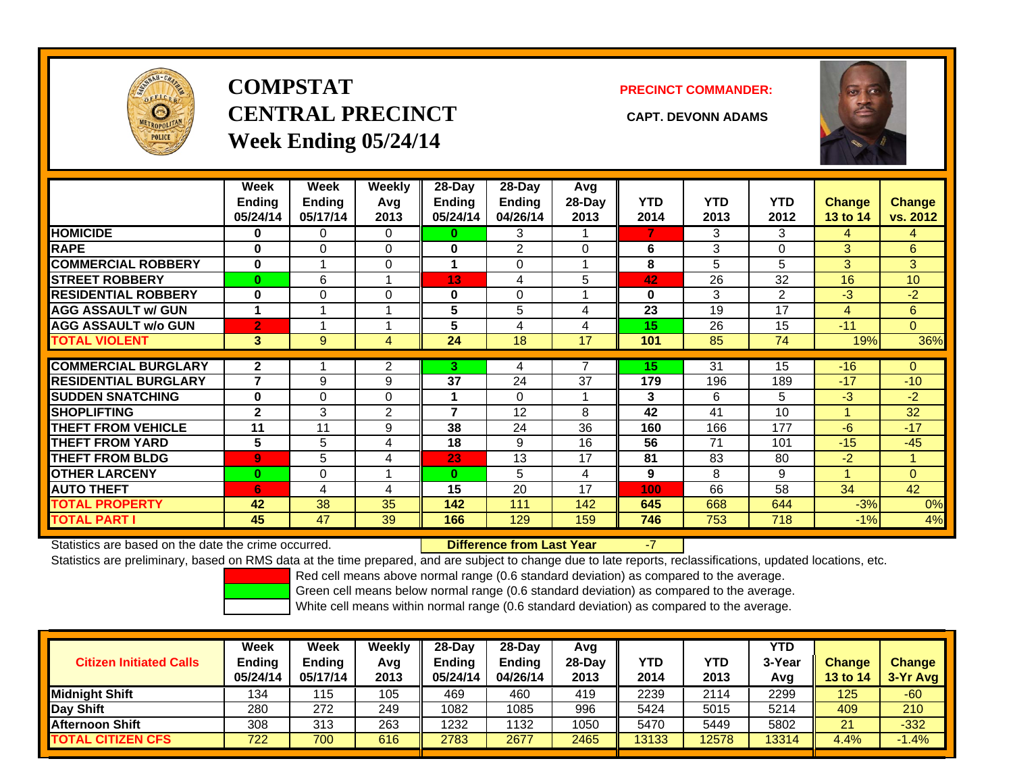

## **COMPSTATCENTRAL PRECINCT CAPT. DEVONN ADAMSWeek Ending 05/24/14**

**PRECINCT COMMANDER:**



|                             | Week<br><b>Ending</b><br>05/24/14 | Week<br><b>Ending</b><br>05/17/14 | Weekly<br>Avq<br>2013 | 28-Day<br><b>Ending</b><br>05/24/14 | $28$ -Day<br>Ending<br>04/26/14 | Avg<br>28-Day<br>2013 | <b>YTD</b><br>2014 | <b>YTD</b><br>2013 | <b>YTD</b><br>2012 | <b>Change</b><br><b>13 to 14</b> | Change<br>vs. 2012 |
|-----------------------------|-----------------------------------|-----------------------------------|-----------------------|-------------------------------------|---------------------------------|-----------------------|--------------------|--------------------|--------------------|----------------------------------|--------------------|
| <b>HOMICIDE</b>             | 0                                 | 0                                 | 0                     | 0                                   | 3                               |                       | 7                  | 3                  | 3                  | 4                                | 4                  |
| <b>RAPE</b>                 | $\bf{0}$                          | $\Omega$                          | 0                     | 0                                   | 2                               | $\Omega$              | 6                  | 3                  | $\Omega$           | 3                                | 6                  |
| <b>COMMERCIAL ROBBERY</b>   | $\bf{0}$                          |                                   | 0                     |                                     | $\Omega$                        |                       | 8                  | 5                  | 5                  | 3                                | 3                  |
| <b>STREET ROBBERY</b>       | $\bf{0}$                          | 6                                 |                       | 13                                  | 4                               | 5                     | 42                 | 26                 | 32                 | 16                               | 10 <sup>1</sup>    |
| <b>RESIDENTIAL ROBBERY</b>  | $\bf{0}$                          | 0                                 | 0                     | 0                                   | $\Omega$                        |                       | $\bf{0}$           | 3                  | $\overline{2}$     | $-3$                             | $-2$               |
| <b>AGG ASSAULT w/ GUN</b>   | 1                                 |                                   |                       | 5                                   | 5                               | 4                     | 23                 | 19                 | 17                 | 4                                | 6                  |
| <b>AGG ASSAULT w/o GUN</b>  | $\overline{2}$                    |                                   |                       | 5                                   | 4                               | 4                     | 15                 | 26                 | 15                 | $-11$                            | $\overline{0}$     |
| <b>TOTAL VIOLENT</b>        | 3                                 | 9                                 | 4                     | 24                                  | 18                              | 17                    | 101                | 85                 | 74                 | 19%                              | 36%                |
|                             |                                   |                                   |                       |                                     |                                 |                       |                    |                    |                    |                                  |                    |
| <b>COMMERCIAL BURGLARY</b>  | $\mathbf{2}$                      |                                   | 2                     | 3.                                  | 4                               |                       | 15                 | 31                 | 15                 | $-16$                            | $\Omega$           |
| <b>RESIDENTIAL BURGLARY</b> | 7                                 | 9                                 | 9                     | 37                                  | 24                              | 37                    | 179                | 196                | 189                | $-17$                            | $-10$              |
| <b>SUDDEN SNATCHING</b>     | $\bf{0}$                          | $\Omega$                          | 0                     |                                     | $\Omega$                        |                       | 3                  | 6                  | 5                  | $-3$                             | $-2$               |
| <b>SHOPLIFTING</b>          | $\mathbf{2}$                      | 3                                 | $\overline{2}$        | 7                                   | 12                              | 8                     | 42                 | 41                 | 10                 | 1                                | 32                 |
| <b>THEFT FROM VEHICLE</b>   | 11                                | 11                                | 9                     | 38                                  | 24                              | 36                    | 160                | 166                | 177                | $-6$                             | $-17$              |
| <b>THEFT FROM YARD</b>      | 5                                 | 5                                 | 4                     | 18                                  | 9                               | 16                    | 56                 | 71                 | 101                | $-15$                            | $-45$              |
| <b>THEFT FROM BLDG</b>      | $\overline{9}$                    | 5                                 | 4                     | 23                                  | 13                              | 17                    | 81                 | 83                 | 80                 | $-2$                             | 1                  |
| <b>OTHER LARCENY</b>        | $\bf{0}$                          | $\Omega$                          |                       | $\bf{0}$                            | 5                               | 4                     | 9                  | 8                  | 9                  | 1                                | $\Omega$           |
| <b>AUTO THEFT</b>           | 6                                 | 4                                 | 4                     | 15                                  | 20                              | 17                    | 100                | 66                 | 58                 | 34                               | 42                 |
| <b>TOTAL PROPERTY</b>       | 42                                | 38                                | 35                    | 142                                 | 111                             | 142                   | 645                | 668                | 644                | $-3%$                            | 0%                 |
| <b>TOTAL PART I</b>         | 45                                | 47                                | 39                    | 166                                 | 129                             | 159                   | 746                | 753                | 718                | $-1%$                            | 4%                 |

Statistics are based on the date the crime occurred. **Difference from Last Year** 

-7

Statistics are preliminary, based on RMS data at the time prepared, and are subject to change due to late reports, reclassifications, updated locations, etc.

Red cell means above normal range (0.6 standard deviation) as compared to the average.

Green cell means below normal range (0.6 standard deviation) as compared to the average.

| <b>Citizen Initiated Calls</b> | Week<br>Ending<br>05/24/14 | Week<br><b>Ending</b><br>05/17/14 | Weekly<br>Avg<br>2013 | $28-Dav$<br>Ending<br>05/24/14 | 28-Dav<br><b>Ending</b><br>04/26/14 | Avg<br>28-Dav<br>2013 | YTD<br>2014 | YTD<br>2013 | <b>YTD</b><br>3-Year<br>Avg | <b>Change</b><br><b>13 to 14</b> | <b>Change</b><br>3-Yr Avg |
|--------------------------------|----------------------------|-----------------------------------|-----------------------|--------------------------------|-------------------------------------|-----------------------|-------------|-------------|-----------------------------|----------------------------------|---------------------------|
| <b>I</b> Midniaht Shift        | 134                        | 115                               | 105                   | 469                            | 460                                 | 419                   | 2239        | 2114        | 2299                        | 125                              | -60                       |
| Day Shift                      | 280                        | 272                               | 249                   | 1082                           | 1085                                | 996                   | 5424        | 5015        | 5214                        | 409                              | 210                       |
| <b>Afternoon Shift</b>         | 308                        | 313                               | 263                   | 1232                           | 1132                                | 1050                  | 5470        | 5449        | 5802                        | 21                               | $-332$                    |
| <b>TOTAL CITIZEN CFS</b>       | 722                        | 700                               | 616                   | 2783                           | 2677                                | 2465                  | 13133       | 2578        | 13314                       | 4.4%                             | $-1.4%$                   |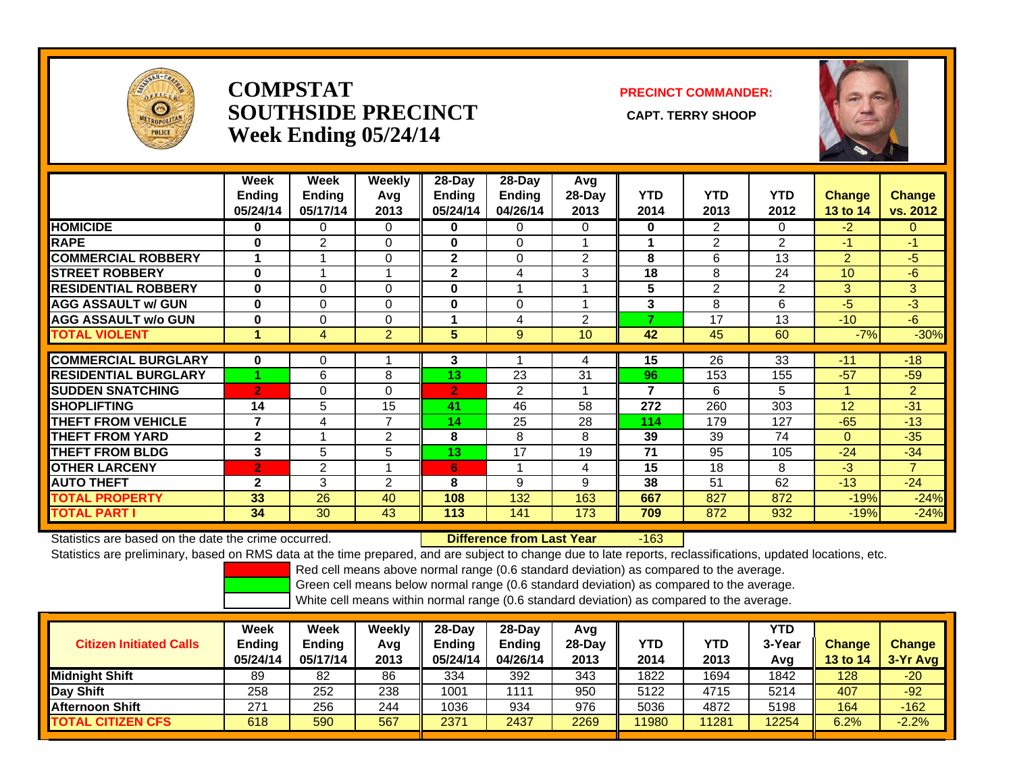

#### **COMPSTATSOUTHSIDE PRECINCT** CAPT. TERRY SHOOP **Week Ending 05/24/14**

#### **PRECINCT COMMANDER:**



|                             | Week<br><b>Ending</b><br>05/24/14 | Week<br><b>Ending</b><br>05/17/14 | <b>Weekly</b><br>Avg<br>2013 | 28-Day<br><b>Ending</b><br>05/24/14 | $28-Day$<br><b>Ending</b><br>04/26/14 | Avg<br>$28-Day$<br>2013 | <b>YTD</b><br>2014 | <b>YTD</b><br>2013 | <b>YTD</b><br>2012 | <b>Change</b><br><b>13 to 14</b> | <b>Change</b><br>vs. 2012 |
|-----------------------------|-----------------------------------|-----------------------------------|------------------------------|-------------------------------------|---------------------------------------|-------------------------|--------------------|--------------------|--------------------|----------------------------------|---------------------------|
| <b>HOMICIDE</b>             | $\bf{0}$                          | $\Omega$                          | $\Omega$                     | $\bf{0}$                            | 0                                     | $\Omega$                | 0                  | 2                  | 0                  | $-2$                             | $\Omega$                  |
| <b>RAPE</b>                 | 0                                 | 2                                 | $\Omega$                     | $\bf{0}$                            | 0                                     |                         |                    | 2                  | 2                  | -1                               | $-1$                      |
| <b>COMMERCIAL ROBBERY</b>   |                                   |                                   | $\Omega$                     | $\mathbf{2}$                        | $\Omega$                              | $\overline{2}$          | 8                  | 6                  | 13                 | $\overline{2}$                   | $-5$                      |
| <b>STREET ROBBERY</b>       | 0                                 |                                   |                              | $\mathbf{2}$                        | 4                                     | 3                       | 18                 | 8                  | 24                 | 10                               | -6                        |
| <b>RESIDENTIAL ROBBERY</b>  | $\bf{0}$                          | $\Omega$                          | 0                            | $\bf{0}$                            |                                       |                         | 5                  | 2                  | 2                  | 3                                | 3 <sup>1</sup>            |
| <b>AGG ASSAULT w/ GUN</b>   | $\bf{0}$                          | 0                                 | $\Omega$                     | 0                                   | 0                                     |                         | 3                  | 8                  | 6                  | -5                               | -3                        |
| <b>AGG ASSAULT w/o GUN</b>  | $\bf{0}$                          | $\Omega$                          | 0                            | 4                                   | 4                                     | $\overline{2}$          | ⇁                  | 17                 | 13                 | $-10$                            | $-6$                      |
| <b>TOTAL VIOLENT</b>        | 1                                 | 4                                 | $\overline{2}$               | 5                                   | 9                                     | 10                      | 42                 | 45                 | 60                 | $-7%$                            | $-30%$                    |
|                             |                                   |                                   |                              |                                     |                                       |                         |                    |                    |                    |                                  |                           |
| <b>COMMERCIAL BURGLARY</b>  | $\bf{0}$                          | 0                                 |                              | 3                                   |                                       | 4                       | 15                 | 26                 | 33                 | $-11$                            | $-18$                     |
| <b>RESIDENTIAL BURGLARY</b> |                                   | 6                                 | 8                            | 13                                  | 23                                    | 31                      | 96                 | 153                | 155                | $-57$                            | $-59$                     |
| <b>ISUDDEN SNATCHING</b>    | $\overline{2}$                    | $\Omega$                          | $\Omega$                     | $\overline{2}$                      | 2                                     |                         | 7                  | 6                  | 5                  | 4                                | $\overline{2}$            |
| <b>SHOPLIFTING</b>          | 14                                | 5                                 | 15                           | 41                                  | 46                                    | 58                      | 272                | 260                | 303                | 12                               | $-31$                     |
| <b>THEFT FROM VEHICLE</b>   | 7                                 | 4                                 | $\overline{7}$               | 14                                  | 25                                    | 28                      | 114                | 179                | 127                | $-65$                            | $-13$                     |
| <b>THEFT FROM YARD</b>      | $\mathbf{2}$                      |                                   | 2                            | 8                                   | 8                                     | 8                       | 39                 | 39                 | 74                 | $\Omega$                         | $-35$                     |
| <b>THEFT FROM BLDG</b>      | 3                                 | 5                                 | 5                            | 13                                  | 17                                    | 19                      | 71                 | 95                 | 105                | $-24$                            | $-34$                     |
| <b>OTHER LARCENY</b>        | $\overline{2}$                    | 2                                 |                              | 6                                   | и                                     | 4                       | 15                 | 18                 | 8                  | -3                               | $\overline{7}$            |
| <b>AUTO THEFT</b>           | $\mathbf{2}$                      | 3                                 | 2                            | 8                                   | 9                                     | 9                       | 38                 | 51                 | 62                 | $-13$                            | $-24$                     |
| <b>TOTAL PROPERTY</b>       | 33                                | 26                                | 40                           | 108                                 | 132                                   | 163                     | 667                | 827                | 872                | $-19%$                           | $-24%$                    |
| <b>TOTAL PART I</b>         | 34                                | 30                                | 43                           | 113                                 | 141                                   | 173                     | 709                | 872                | 932                | $-19%$                           | $-24%$                    |

Statistics are based on the date the crime occurred. **Difference from Last Year** 

r -163

Statistics are preliminary, based on RMS data at the time prepared, and are subject to change due to late reports, reclassifications, updated locations, etc.

Red cell means above normal range (0.6 standard deviation) as compared to the average.

Green cell means below normal range (0.6 standard deviation) as compared to the average.

| <b>Citizen Initiated Calls</b> | Week<br>Ending<br>05/24/14 | Week<br><b>Ending</b><br>05/17/14 | Weekly<br>Avg<br>2013 | $28-Dav$<br><b>Ending</b><br>05/24/14 | 28-Dav<br><b>Ending</b><br>04/26/14 | Avg<br>28-Day<br>2013 | YTD<br>2014 | YTD<br>2013 | YTD<br>3-Year<br>Avq | <b>Change</b><br><b>13 to 14</b> | Change<br>3-Yr Avg |
|--------------------------------|----------------------------|-----------------------------------|-----------------------|---------------------------------------|-------------------------------------|-----------------------|-------------|-------------|----------------------|----------------------------------|--------------------|
| <b>Midnight Shift</b>          | 89                         | 82                                | 86                    | 334                                   | 392                                 | 343                   | 1822        | 1694        | 1842                 | 128                              | $-20$              |
| Day Shift                      | 258                        | 252                               | 238                   | 1001                                  | 111                                 | 950                   | 5122        | 4715        | 5214                 | 407                              | $-92$              |
| <b>Afternoon Shift</b>         | 271                        | 256                               | 244                   | 1036                                  | 934                                 | 976                   | 5036        | 4872        | 5198                 | 164                              | $-162$             |
| <b>TOTAL CITIZEN CFS</b>       | 618                        | 590                               | 567                   | 2371                                  | 2437                                | 2269                  | 11980       | 11281       | 12254                | 6.2%                             | $-2.2%$            |